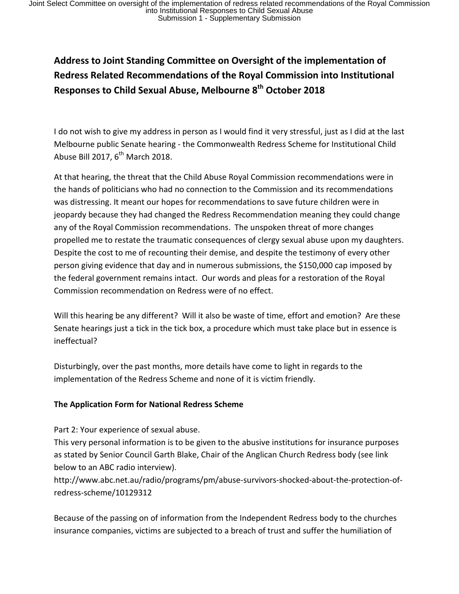# **Address to Joint Standing Committee on Oversight of the implementation of Redress Related Recommendations of the Royal Commission into Institutional Responses to Child Sexual Abuse, Melbourne 8th October 2018**

I do not wish to give my address in person as I would find it very stressful, just as I did at the last Melbourne public Senate hearing - the Commonwealth Redress Scheme for Institutional Child Abuse Bill 2017,  $6^{th}$  March 2018.

At that hearing, the threat that the Child Abuse Royal Commission recommendations were in the hands of politicians who had no connection to the Commission and its recommendations was distressing. It meant our hopes for recommendations to save future children were in jeopardy because they had changed the Redress Recommendation meaning they could change any of the Royal Commission recommendations. The unspoken threat of more changes propelled me to restate the traumatic consequences of clergy sexual abuse upon my daughters. Despite the cost to me of recounting their demise, and despite the testimony of every other person giving evidence that day and in numerous submissions, the \$150,000 cap imposed by the federal government remains intact. Our words and pleas for a restoration of the Royal Commission recommendation on Redress were of no effect.

Will this hearing be any different? Will it also be waste of time, effort and emotion? Are these Senate hearings just a tick in the tick box, a procedure which must take place but in essence is ineffectual?

Disturbingly, over the past months, more details have come to light in regards to the implementation of the Redress Scheme and none of it is victim friendly.

## **The Application Form for National Redress Scheme**

Part 2: Your experience of sexual abuse.

This very personal information is to be given to the abusive institutions for insurance purposes as stated by Senior Council Garth Blake, Chair of the Anglican Church Redress body (see link below to an ABC radio interview).

http://www.abc.net.au/radio/programs/pm/abuse-survivors-shocked-about-the-protection-ofredress-scheme/10129312

Because of the passing on of information from the Independent Redress body to the churches insurance companies, victims are subjected to a breach of trust and suffer the humiliation of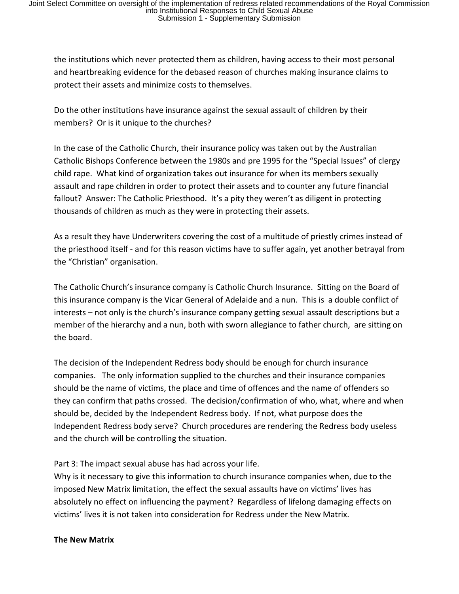the institutions which never protected them as children, having access to their most personal and heartbreaking evidence for the debased reason of churches making insurance claims to protect their assets and minimize costs to themselves.

Do the other institutions have insurance against the sexual assault of children by their members? Or is it unique to the churches?

In the case of the Catholic Church, their insurance policy was taken out by the Australian Catholic Bishops Conference between the 1980s and pre 1995 for the "Special Issues" of clergy child rape. What kind of organization takes out insurance for when its members sexually assault and rape children in order to protect their assets and to counter any future financial fallout? Answer: The Catholic Priesthood. It's a pity they weren't as diligent in protecting thousands of children as much as they were in protecting their assets.

As a result they have Underwriters covering the cost of a multitude of priestly crimes instead of the priesthood itself - and for this reason victims have to suffer again, yet another betrayal from the "Christian" organisation.

The Catholic Church's insurance company is Catholic Church Insurance. Sitting on the Board of this insurance company is the Vicar General of Adelaide and a nun. This is a double conflict of interests – not only is the church's insurance company getting sexual assault descriptions but a member of the hierarchy and a nun, both with sworn allegiance to father church, are sitting on the board.

The decision of the Independent Redress body should be enough for church insurance companies. The only information supplied to the churches and their insurance companies should be the name of victims, the place and time of offences and the name of offenders so they can confirm that paths crossed. The decision/confirmation of who, what, where and when should be, decided by the Independent Redress body. If not, what purpose does the Independent Redress body serve? Church procedures are rendering the Redress body useless and the church will be controlling the situation.

Part 3: The impact sexual abuse has had across your life.

Why is it necessary to give this information to church insurance companies when, due to the imposed New Matrix limitation, the effect the sexual assaults have on victims' lives has absolutely no effect on influencing the payment? Regardless of lifelong damaging effects on victims' lives it is not taken into consideration for Redress under the New Matrix.

**The New Matrix**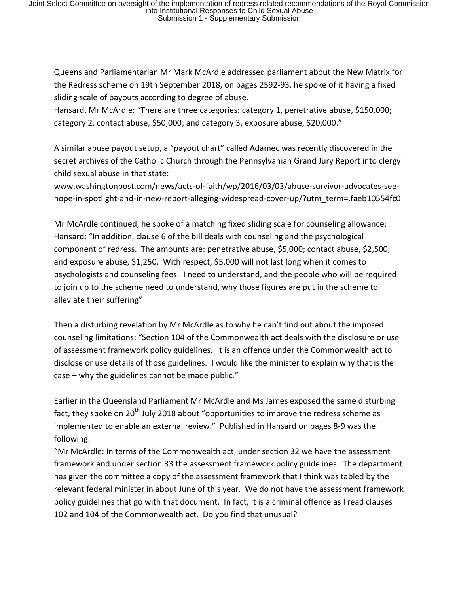Queensland Parliamentarian Mr Mark McArdle addressed parliament about the New Matrix for the Redress scheme on 19th September 2018, on pages 2592-93, he spoke of it having a fixed sliding scale of payouts according to degree of abuse.

Hansard, Mr McArdle: "There are three categories: category 1, penetrative abuse, \$150.000; category 2, contact abuse, \$50,000; and category 3, exposure abuse, \$20,000."

A similar abuse payout setup, a "payout chart" called Adamec was recently discovered in the secret archives of the Catholic Church through the Pennsylvanian Grand Jury Report into clergy child sexual abuse in that state:

www.washingtonpost.com/news/acts-of-faith/wp/2016/03/03/abuse-survivor-advocates-seehope-in-spotlight-and-in-new-report-alleging-widespread-cover-up/?utm\_term=.faeb10554fc0

Mr McArdle continued, he spoke of a matching fixed sliding scale for counseling allowance: Hansard: "In addition, clause 6 of the bill deals with counseling and the psychological component of redress. The amounts are: penetrative abuse, \$5,000; contact abuse, \$2,500; and exposure abuse, \$1,250. With respect, \$5,000 will not last long when it comes to psychologists and counseling fees. I need to understand, and the people who will be required to join up to the scheme need to understand, why those figures are put in the scheme to alleviate their suffering"

Then a disturbing revelation by Mr McArdle as to why he can't find out about the imposed counseling limitations: "Section 104 of the Commonwealth act deals with the disclosure or use of assessment framework policy guidelines. It is an offence under the Commonwealth act to disclose or use details of those guidelines. I would like the minister to explain why that is the case – why the guidelines cannot be made public."

Earlier in the Queensland Parliament Mr McArdle and Ms James exposed the same disturbing fact, they spoke on 20<sup>th</sup> July 2018 about "opportunities to improve the redress scheme as implemented to enable an external review." Published in Hansard on pages 8-9 was the following:

"Mr McArdle: In terms of the Commonwealth act, under section 32 we have the assessment framework and under section 33 the assessment framework policy guidelines. The department has given the committee a copy of the assessment framework that I think was tabled by the relevant federal minister in about June of this year. We do not have the assessment framework policy guidelines that go with that document. In fact, it is a criminal offence as I read clauses 102 and 104 of the Commonwealth act. Do you find that unusual?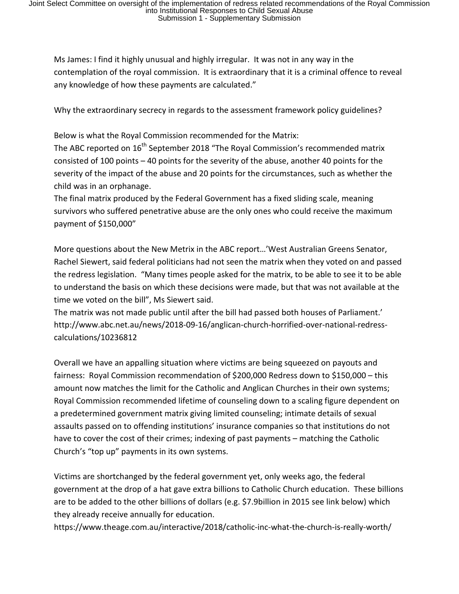Ms James: I find it highly unusual and highly irregular. It was not in any way in the contemplation of the royal commission. It is extraordinary that it is a criminal offence to reveal any knowledge of how these payments are calculated."

Why the extraordinary secrecy in regards to the assessment framework policy guidelines?

Below is what the Royal Commission recommended for the Matrix:

The ABC reported on 16<sup>th</sup> September 2018 "The Royal Commission's recommended matrix consisted of 100 points – 40 points for the severity of the abuse, another 40 points for the severity of the impact of the abuse and 20 points for the circumstances, such as whether the child was in an orphanage.

The final matrix produced by the Federal Government has a fixed sliding scale, meaning survivors who suffered penetrative abuse are the only ones who could receive the maximum payment of \$150,000"

More questions about the New Metrix in the ABC report…'West Australian Greens Senator, Rachel Siewert, said federal politicians had not seen the matrix when they voted on and passed the redress legislation. "Many times people asked for the matrix, to be able to see it to be able to understand the basis on which these decisions were made, but that was not available at the time we voted on the bill", Ms Siewert said.

The matrix was not made public until after the bill had passed both houses of Parliament.' http://www.abc.net.au/news/2018-09-16/anglican-church-horrified-over-national-redresscalculations/10236812

Overall we have an appalling situation where victims are being squeezed on payouts and fairness: Royal Commission recommendation of \$200,000 Redress down to \$150,000 – this amount now matches the limit for the Catholic and Anglican Churches in their own systems; Royal Commission recommended lifetime of counseling down to a scaling figure dependent on a predetermined government matrix giving limited counseling; intimate details of sexual assaults passed on to offending institutions' insurance companies so that institutions do not have to cover the cost of their crimes; indexing of past payments – matching the Catholic Church's "top up" payments in its own systems.

Victims are shortchanged by the federal government yet, only weeks ago, the federal government at the drop of a hat gave extra billions to Catholic Church education. These billions are to be added to the other billions of dollars (e.g. \$7.9billion in 2015 see link below) which they already receive annually for education.

https://www.theage.com.au/interactive/2018/catholic-inc-what-the-church-is-really-worth/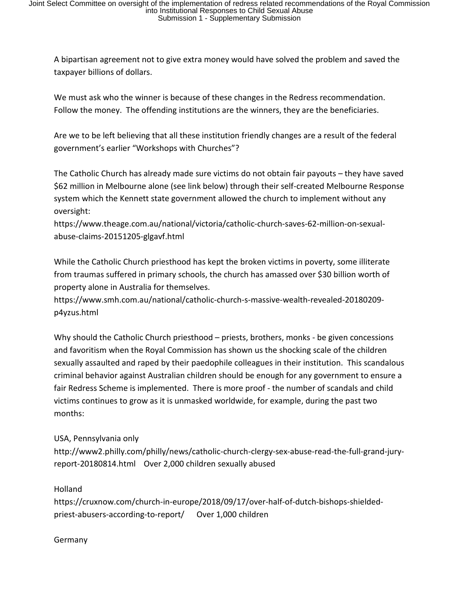A bipartisan agreement not to give extra money would have solved the problem and saved the taxpayer billions of dollars.

We must ask who the winner is because of these changes in the Redress recommendation. Follow the money. The offending institutions are the winners, they are the beneficiaries.

Are we to be left believing that all these institution friendly changes are a result of the federal government's earlier "Workshops with Churches"?

The Catholic Church has already made sure victims do not obtain fair payouts – they have saved \$62 million in Melbourne alone (see link below) through their self-created Melbourne Response system which the Kennett state government allowed the church to implement without any oversight:

https://www.theage.com.au/national/victoria/catholic-church-saves-62-million-on-sexualabuse-claims-20151205-glgavf.html

While the Catholic Church priesthood has kept the broken victims in poverty, some illiterate from traumas suffered in primary schools, the church has amassed over \$30 billion worth of property alone in Australia for themselves.

https://www.smh.com.au/national/catholic-church-s-massive-wealth-revealed-20180209 p4yzus.html

Why should the Catholic Church priesthood – priests, brothers, monks - be given concessions and favoritism when the Royal Commission has shown us the shocking scale of the children sexually assaulted and raped by their paedophile colleagues in their institution. This scandalous criminal behavior against Australian children should be enough for any government to ensure a fair Redress Scheme is implemented. There is more proof - the number of scandals and child victims continues to grow as it is unmasked worldwide, for example, during the past two months:

### USA, Pennsylvania only

http://www2.philly.com/philly/news/catholic-church-clergy-sex-abuse-read-the-full-grand-juryreport-20180814.html Over 2,000 children sexually abused

### Holland

https://cruxnow.com/church-in-europe/2018/09/17/over-half-of-dutch-bishops-shieldedpriest-abusers-according-to-report/ Over 1,000 children

#### Germany